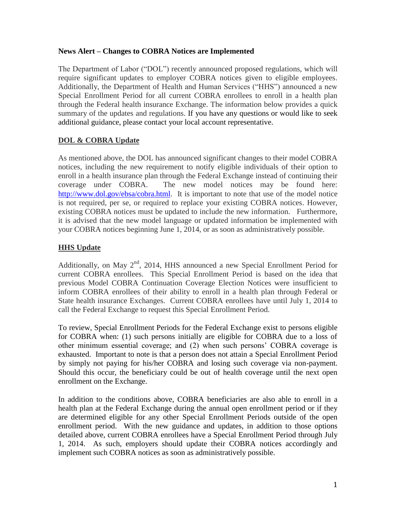## **News Alert – Changes to COBRA Notices are Implemented**

The Department of Labor ("DOL") recently announced proposed regulations, which will require significant updates to employer COBRA notices given to eligible employees. Additionally, the Department of Health and Human Services ("HHS") announced a new Special Enrollment Period for all current COBRA enrollees to enroll in a health plan through the Federal health insurance Exchange. The information below provides a quick summary of the updates and regulations. If you have any questions or would like to seek additional guidance, please contact your local account representative.

## **DOL & COBRA Update**

As mentioned above, the DOL has announced significant changes to their model COBRA notices, including the new requirement to notify eligible individuals of their option to enroll in a health insurance plan through the Federal Exchange instead of continuing their coverage under COBRA. The new model notices may be found here: [http://www.dol.gov/ebsa/cobra.html.](http://www.dol.gov/ebsa/cobra.html) It is important to note that use of the model notice is not required, per se, or required to replace your existing COBRA notices. However, existing COBRA notices must be updated to include the new information. Furthermore, it is advised that the new model language or updated information be implemented with your COBRA notices beginning June 1, 2014, or as soon as administratively possible.

## **HHS Update**

Additionally, on May 2<sup>nd</sup>, 2014, HHS announced a new Special Enrollment Period for current COBRA enrollees. This Special Enrollment Period is based on the idea that previous Model COBRA Continuation Coverage Election Notices were insufficient to inform COBRA enrollees of their ability to enroll in a health plan through Federal or State health insurance Exchanges. Current COBRA enrollees have until July 1, 2014 to call the Federal Exchange to request this Special Enrollment Period.

To review, Special Enrollment Periods for the Federal Exchange exist to persons eligible for COBRA when: (1) such persons initially are eligible for COBRA due to a loss of other minimum essential coverage; and (2) when such persons' COBRA coverage is exhausted. Important to note is that a person does not attain a Special Enrollment Period by simply not paying for his/her COBRA and losing such coverage via non-payment. Should this occur, the beneficiary could be out of health coverage until the next open enrollment on the Exchange.

In addition to the conditions above, COBRA beneficiaries are also able to enroll in a health plan at the Federal Exchange during the annual open enrollment period or if they are determined eligible for any other Special Enrollment Periods outside of the open enrollment period. With the new guidance and updates, in addition to those options detailed above, current COBRA enrollees have a Special Enrollment Period through July 1, 2014. As such, employers should update their COBRA notices accordingly and implement such COBRA notices as soon as administratively possible.